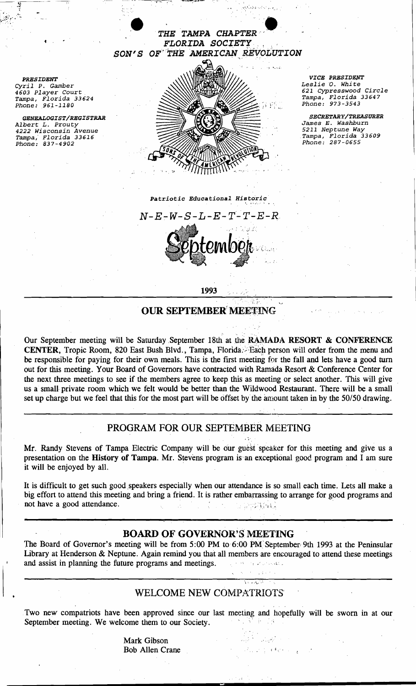

. '. " ~., - ..

 $\frac{y}{2}$ 

1993

### OUR SEPTEMBER MEETING

Our September meeting will be Saturday September 18th at the RAMADA RESORT & CONFERENCE CENTER, Tropic Room, 820 East Bush Blvd., Tampa, Florida: Each person will order from the menu and be responsible for paying for their own meals. This is the first meeting for the fall and lets have a good turn out for this meeting. Your Board of Governors have contracted with Ramada Resort & Conference Center for the next three meetings to see if the members agree to keep this as meeting or select another. This will give us a small private room which we felt would be better than the Wildwood Restaurant. There will be a small set up charge but we feel that this for the most part will be offset by the amount taken in by the 50/50 drawing.

# PROGRAM FOR OUR SEPTEMBER MEETING

 $, \infty$ 

 $\frac{1}{2} \frac{1}{2} \frac{1}{2} \frac{1}{2}$ 

Mr. Randy Stevens of Tampa Electric Company will be our guest speaker for this meeting and give us a presentation on the History of Tampa. Mr. Stevens program is an exceptional good program and I am sure it will be enjoyed by all.

It is difficult to get such good speakers especially when our attendance is so small each time. Lets all make a big effort to attend this meeting and bring a friend. It is rather embarrassing to arrange for good programs and not have a good attendance.

# BOARD OF GOVERNOR'S MEETING

The Board of Governor's meeting will be from 5:00 PM to 6:00 PM September 9th 1993 at the Peninsular Library at Henderson & Neptune. Again remind you that all members are encouraged to attend these meetings and assist in planning the future programs and meetings. The subsequential contract and meetings.

# WELCOME NEW COMPATRIOTS'

Two new compatriots have been approved since our last meeting and hopefully will be sworn in at our September meeting. We welcome them to our Society. 手工業

> Mark Gibson Bob Allen Crane is a formulated and the set of the set of the set of the set of the set of the set of the set of the set of the set of the set of the set of the set of the set of the set of the set of the set of the set of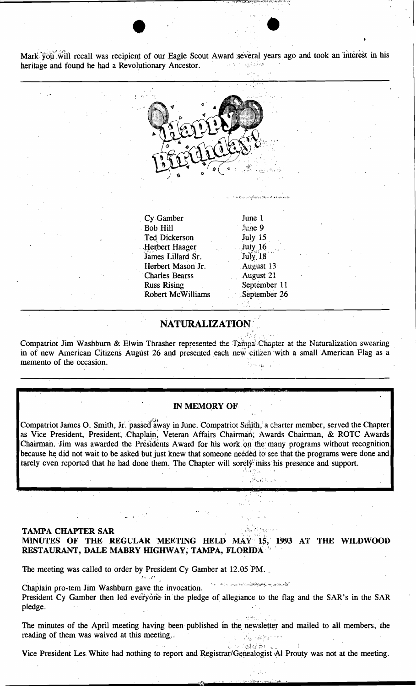$\bullet$   $\bullet$ Mark you will recall was recipient of our Eagle Scout Award several years ago and took an interest in his heritage and found he had a Revolutionary Ancestor.



#### NATURALIZATION' ',~ .

;~ ",:, ~!' .,

 $\Lambda_{\rm eff}$ 

Well by

,...

 $\mathcal{L}^{\mathcal{A}}\sim\mathcal{L}^{-\mathcal{A}}$ 

Compatriot Jim Washburn & Elwin Thrasher represented the Tampa Chapter at the Naturalization swearing in of new American Citizens August 26 and presented each new citizen with a small American Flag as a memento of the occasion.

#### IN MEMORY OF

Compatriot James O. Smith, Jr. passed away in June. Compatriot Smith, a charter member, served the Chapter as Vice President, President, Chaplain, Veteran Affairs Chairman; Awards Chairman, & ROTC Awards Chairman. Jim was awarded the Presidents Award for his work on the many programs without recognition because he did not wait to be asked but just knew that someone needed to see that the programs were done and rarely even reported that he had done them. The Chapter will sorely miss his presence and support.

## TAMPA CHAPTER SAR MINUTES OF THE REGULAR MEETING HELD MAY 15, 1993 AT THE WILDWOOD RESTAURANT, DALE MABRY HIGHWAY, TAMPA, FLORIDA<sup>®</sup>

The meeting was called to order by President Cy Gamber at 12.05 PM.

Chaplain pro-tem Jim Washburn gave the invocation. President Cy Gamber then led everyone in the pledge of allegiance to the flag and the SAR's in the SAR pledge.

'. '" The minutes of the April meeting having been published in the newsletter and mailed to all members, the reading of them was waived at this meeting., إعلاء البركاء

Vice President Les White had nothing to report and Registrar/Genealogist Al Prouty was not at the meeting.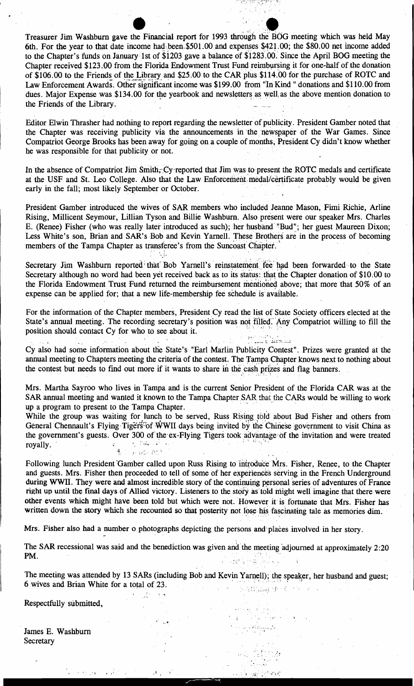Treasurer Jim Washburn gave the Financial report for 1993 through the BOG meeting which was held May 6th. For the year to that date income had been \$501.00 and expenses \$421.00; the \$80.00 net income added to the Chapter's funds on January 1st of \$1203 gave a balance of \$1283.00. Since the April BOG meeting the Chapter received \$123.00 from the Florida Endowment Trust Fund reimbursing it for one-half of the donation of \$106.00 to the Friends of the Library and \$25.00 to the CAR plus \$114.00 for the purchase of ROTC and Law Enforcement Awards. Other significant income was \$199.00 from "In Kind" donations and \$110.00 from dues. Major Expense was \$134.00 for the yearbook and newsletters as well, as the above mention donation to the Friends of the Library.

Editor Elwin Thrasher had nothing to report regarding the newsletter of publicity. President Gamber noted that the Chapter was receiving publicity via the announcements in the newspaper of the War Games. Since Compatriot George Brooks has been away for going on a couple of months, President Cy didn't know whether he was responsible for that publicity or not.

In the absence of Compatriot Jim Smith, Cy reported that Jim was to present the ROTC medals and certificate at the USF and St. Leo College. Also that the Law Enforcement medal/certificate probably would be given early in the fall; most likely September or October.

President Gamber introduced the wives of SAR members who included Jeanne Mason, Fimi Richie, Arline Rising, Millicent Seymour, Lillian Tyson and Billie Washburn. Also present were our speaker Mrs. Charles E. (Renee) Fisher (who was really later introduced as such); her husband "Bud"; her guest Maureen Dixon; Less White's son, Brian and SAR's Bob and Kevin Yarnell. These Brothers are in the process of becoming members of the Tampa Chapter as transferee's from the Suncoast Chapter.

Secretary Jim Washburn reported that Bob Yarnell's reinstatement fee had been forwarded to the State Secretary although no word had been yet received back as to its status: that the Chapter donation of \$10.00 to the Florida Endowment Trust Fund returned the reimbursement mentioned above; that more that 50% of an expense can be applied for; that a new life-membership fee schedule is available.

For the information of the Chapter members, President Cy read the list of State Society officers elected at the State's annual meeting. The recording secretary's position was not filled. Any Compatriot willing to fill the position should contact Cy for who to see about it.

د ۱۳۸۲ کې د ۲۰۱۷م کال ورتونو لر

Cy also had some information about the State's "Earl Marlin Publicity Contest". Prizes were granted at the annual meeting to Chapters meeting the criteria of the contest. The Tampa Chapter knows next to nothing about the contest but needs to find out more if it wants to share in the cash prizes and flag banners.

Mrs. Martha Sayroo who lives in Tampa and is the current Senior President of the Florida CAR was at the SAR annual meeting and wanted it known to the Tampa Chapter SAR that the CARs would be willing to work up a program to present to the Tampa Chapter.

While the group was waiting for lunch to be served, Russ Rising told about Bud Fisher and others from General Chennault's Flying Tigers of WWII days being invited by the Chinese government to visit China as the government's guests. Over 300 of the ex-Flying Tigers took advantage of the invitation and were treated e in ang Malambaha.<br>Ngjara sa pangangang royally.  $\mathcal{A}_{\mathcal{L}}$ 

Following lunch President Gamber called upon Russ Rising to introduce Mrs. Fisher, Renee, to the Chapter and guests. Mrs. Fisher then proceeded to tell of some of her experiences serving in the French Underground during WWII. They were and almost incredible story of the continuing personal series of adventures of France right up until the final days of Allied victory. Listeners to the story as told might well imagine that there were other events which might have been told but which were not. However it is fortunate that Mrs. Fisher has written down the story which she recounted so that posterity not lose his fascinating tale as memories dim.

Mrs. Fisher also had a number o photographs depicting the persons and places involved in her story.

The SAR recessional was said and the benediction was given and the meeting adjourned at approximately 2:20 PM. 그 남자 오가 있는

The meeting was attended by 13 SARs (including Bob and Kevin Yarnell); the speaker, her husband and guest; 6 wives and Brian White for a total of 23.  $\mathcal{L}^{\text{max}}_{\text{max}}$ (1) 5 - 医液管试验(指) をごと  $\Delta\phi$  .

 $\frac{1}{2} \sum_{i=1}^{2}$ 

 $1 - 1 = 2$  , where  $2 = 2$ 

Respectfully submitted,

James E. Washburn Secretary

 $\label{eq:2.1} \left\langle \mathcal{F}^{\mu\nu} \mathcal{F}^{\nu\nu}_{\nu} \right\rangle = \left\langle \mathcal{F}^{\mu\nu}_{\nu} \right\rangle = \left\langle \mathcal{F}^{\mu\nu}_{\nu} \right\rangle^{\mu\nu}$ 

 $\mathcal{A}$  .